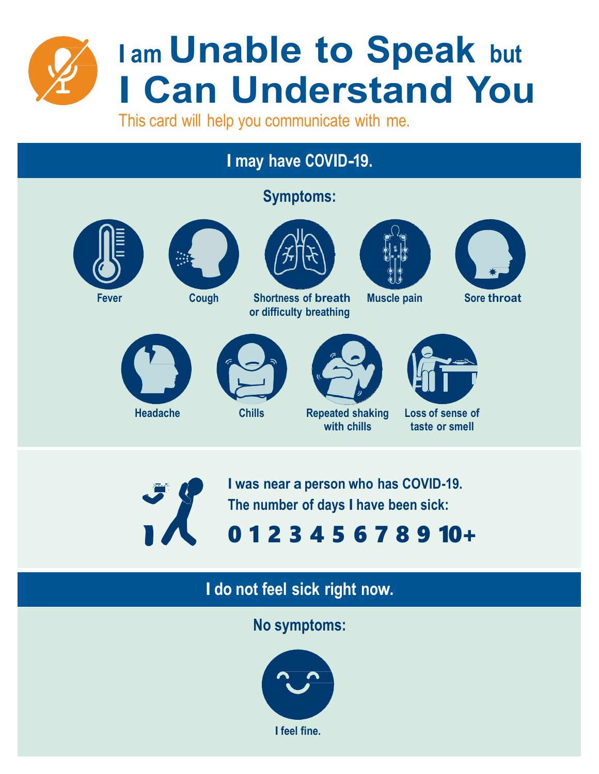

# **I am Unable to Speak but I Can Understand You**

This card will help you communicate with me.

### **I may have COVID-19.**

### **Symptoms:**











**Fever Cough Shortness of breath or difficulty breathing**





**Muscle pain Sore throat**







**with chills**



**Loss of sense of taste or smell**



**I was near a person who has COVID-19. The number of days I have been sick:**

## 0 1 2 3 4 5 6 7 8 9 10+

## **I do not feel sick right now.**

**No symptoms:**